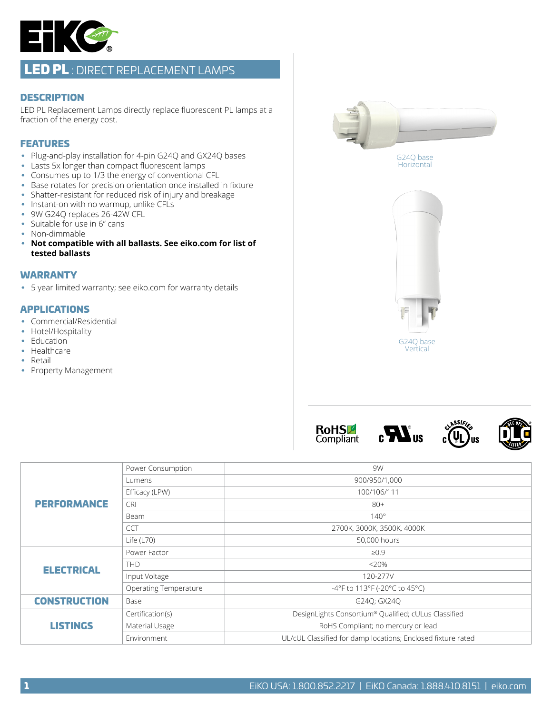

# LED PL : DIRECT REPLACEMENT LAMPS

#### **DESCRIPTION**

LED PL Replacement Lamps directly replace fluorescent PL lamps at a fraction of the energy cost.

### FEATURES

- Plug-and-play installation for 4-pin G24Q and GX24Q bases
- Lasts 5x longer than compact fluorescent lamps
- Consumes up to 1/3 the energy of conventional CFL
- Base rotates for precision orientation once installed in fixture
- Shatter-resistant for reduced risk of injury and breakage
- Instant-on with no warmup, unlike CFLs
- 9W G240 replaces 26-42W CFL
- Suitable for use in 6" cans
- Non-dimmable
- **Not compatible with all ballasts. See eiko.com for list of tested ballasts**

### WARRANTY

• 5 year limited warranty; see eiko.com for warranty details

#### APPLICATIONS

- Commercial/Residential
- Hotel/Hospitality
- Education
- Healthcare
- Retail
- Property Management







ssi

lıs



| <b>PERFORMANCE</b>  | Power Consumption            | 9W                                                           |  |  |  |  |  |
|---------------------|------------------------------|--------------------------------------------------------------|--|--|--|--|--|
|                     | Lumens                       | 900/950/1,000                                                |  |  |  |  |  |
|                     | Efficacy (LPW)               | 100/106/111                                                  |  |  |  |  |  |
|                     | <b>CRI</b>                   | $80+$                                                        |  |  |  |  |  |
|                     | Beam                         | $140^\circ$                                                  |  |  |  |  |  |
|                     | <b>CCT</b>                   | 2700K, 3000K, 3500K, 4000K                                   |  |  |  |  |  |
|                     | Life $(L70)$                 | 50,000 hours                                                 |  |  |  |  |  |
| <b>ELECTRICAL</b>   | Power Factor                 | $\geq 0.9$                                                   |  |  |  |  |  |
|                     | <b>THD</b>                   | $<20\%$                                                      |  |  |  |  |  |
|                     | Input Voltage                | 120-277V                                                     |  |  |  |  |  |
|                     | <b>Operating Temperature</b> | -4°F to 113°F (-20°C to 45°C)                                |  |  |  |  |  |
| <b>CONSTRUCTION</b> | Base                         | G240; GX240                                                  |  |  |  |  |  |
| <b>LISTINGS</b>     | Certification(s)             | DesignLights Consortium® Qualified; cULus Classified         |  |  |  |  |  |
|                     | Material Usage               | RoHS Compliant; no mercury or lead                           |  |  |  |  |  |
|                     | Environment                  | UL/cUL Classified for damp locations; Enclosed fixture rated |  |  |  |  |  |